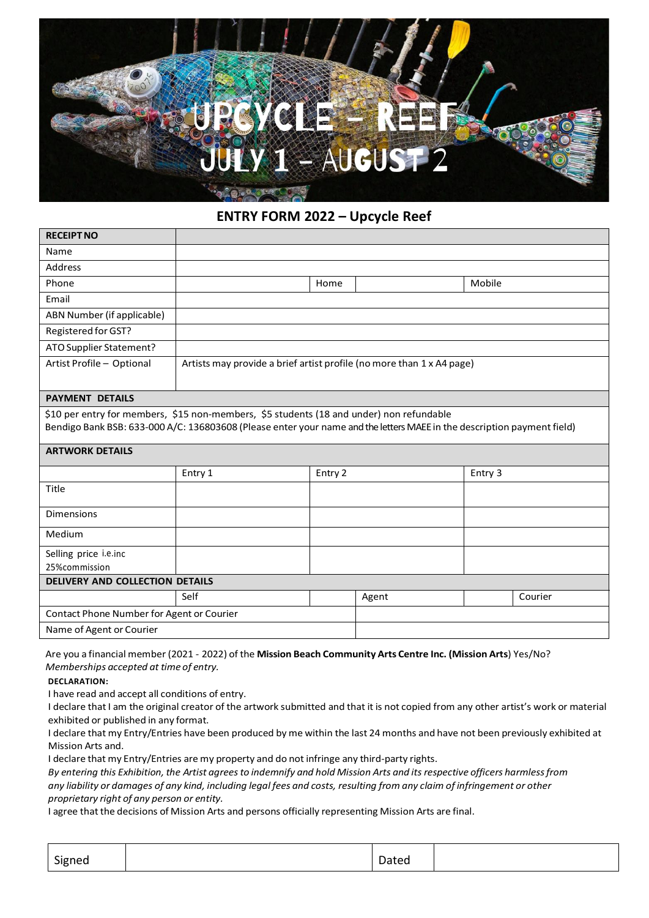

## **ENTRY FORM 2022 – Upcycle Reef**

| <b>RECEIPT NO</b>                                                                                                                                                                                                   |                                                                       |         |       |         |         |  |
|---------------------------------------------------------------------------------------------------------------------------------------------------------------------------------------------------------------------|-----------------------------------------------------------------------|---------|-------|---------|---------|--|
| Name                                                                                                                                                                                                                |                                                                       |         |       |         |         |  |
| <b>Address</b>                                                                                                                                                                                                      |                                                                       |         |       |         |         |  |
| Phone                                                                                                                                                                                                               |                                                                       | Home    |       | Mobile  |         |  |
| Email                                                                                                                                                                                                               |                                                                       |         |       |         |         |  |
| ABN Number (if applicable)                                                                                                                                                                                          |                                                                       |         |       |         |         |  |
| Registered for GST?                                                                                                                                                                                                 |                                                                       |         |       |         |         |  |
| ATO Supplier Statement?                                                                                                                                                                                             |                                                                       |         |       |         |         |  |
| Artist Profile - Optional                                                                                                                                                                                           | Artists may provide a brief artist profile (no more than 1 x A4 page) |         |       |         |         |  |
| <b>PAYMENT DETAILS</b>                                                                                                                                                                                              |                                                                       |         |       |         |         |  |
| \$10 per entry for members, \$15 non-members, \$5 students (18 and under) non refundable<br>Bendigo Bank BSB: 633-000 A/C: 136803608 (Please enter your name and the letters MAEE in the description payment field) |                                                                       |         |       |         |         |  |
| <b>ARTWORK DETAILS</b>                                                                                                                                                                                              |                                                                       |         |       |         |         |  |
|                                                                                                                                                                                                                     | Entry 1                                                               | Entry 2 |       | Entry 3 |         |  |
| Title                                                                                                                                                                                                               |                                                                       |         |       |         |         |  |
| <b>Dimensions</b>                                                                                                                                                                                                   |                                                                       |         |       |         |         |  |
| Medium                                                                                                                                                                                                              |                                                                       |         |       |         |         |  |
| Selling price i.e.inc                                                                                                                                                                                               |                                                                       |         |       |         |         |  |
| 25%commission                                                                                                                                                                                                       |                                                                       |         |       |         |         |  |
| DELIVERY AND COLLECTION DETAILS                                                                                                                                                                                     |                                                                       |         |       |         |         |  |
|                                                                                                                                                                                                                     | Self                                                                  |         | Agent |         | Courier |  |
| Contact Phone Number for Agent or Courier                                                                                                                                                                           |                                                                       |         |       |         |         |  |
| Name of Agent or Courier                                                                                                                                                                                            |                                                                       |         |       |         |         |  |

Are you a financial member (2021 - 2022) of the **Mission Beach Community Arts Centre Inc. (Mission Arts**) Yes/No? *Memberships accepted at time of entry.*

**DECLARATION:**

I have read and accept all conditions of entry.

I declare that I am the original creator of the artwork submitted and that it is not copied from any other artist's work or material exhibited or published in any format.

I declare that my Entry/Entries have been produced by me within the last 24 months and have not been previously exhibited at Mission Arts and.

I declare that my Entry/Entries are my property and do not infringe any third-party rights.

By entering this Exhibition, the Artist agrees to indemnify and hold Mission Arts and its respective officers harmless from any liability or damages of any kind, including legal fees and costs, resulting from any claim of infringement or other *proprietary right of any person or entity.*

I agree that the decisions of Mission Arts and persons officially representing Mission Arts are final.

| $\sim$ .<br>Signed | $\overline{\phantom{a}}$<br>Dated |  |
|--------------------|-----------------------------------|--|
| ּפ                 |                                   |  |